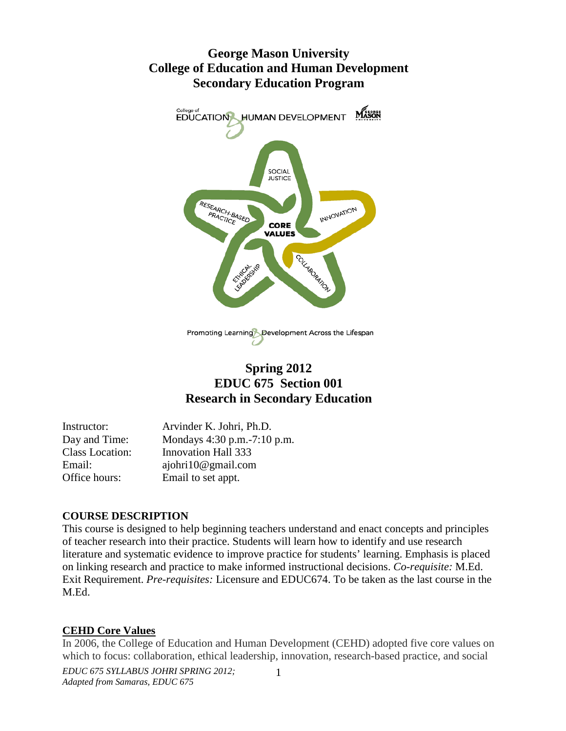# **George Mason University College of Education and Human Development Secondary Education Program**



# **Spring 2012 EDUC 675 Section 001 Research in Secondary Education**

| Instructor:            | Arvinder K. Johri, Ph.D.      |
|------------------------|-------------------------------|
| Day and Time:          | Mondays 4:30 p.m. - 7:10 p.m. |
| <b>Class Location:</b> | <b>Innovation Hall 333</b>    |
| Email:                 | ajohri10@gmail.com            |
| Office hours:          | Email to set appt.            |

#### **COURSE DESCRIPTION**

This course is designed to help beginning teachers understand and enact concepts and principles of teacher research into their practice. Students will learn how to identify and use research literature and systematic evidence to improve practice for students' learning. Emphasis is placed on linking research and practice to make informed instructional decisions. *Co-requisite:* M.Ed. Exit Requirement. *Pre-requisites:* Licensure and EDUC674. To be taken as the last course in the M.Ed.

#### **CEHD Core Values**

In 2006, the College of Education and Human Development (CEHD) adopted five core values on which to focus: collaboration, ethical leadership, innovation, research-based practice, and social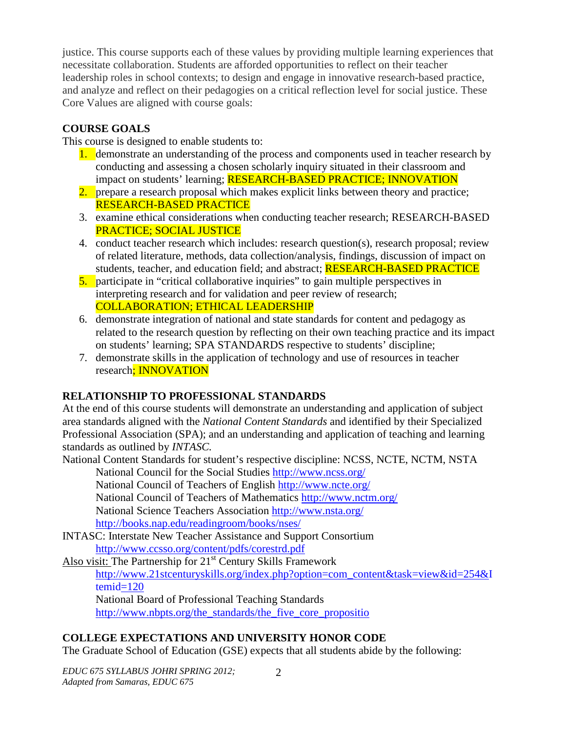justice. This course supports each of these values by providing multiple learning experiences that necessitate collaboration. Students are afforded opportunities to reflect on their teacher leadership roles in school contexts; to design and engage in innovative research-based practice, and analyze and reflect on their pedagogies on a critical reflection level for social justice. These Core Values are aligned with course goals:

## **COURSE GOALS**

This course is designed to enable students to:

- 1. demonstrate an understanding of the process and components used in teacher research by conducting and assessing a chosen scholarly inquiry situated in their classroom and impact on students' learning; RESEARCH-BASED PRACTICE; INNOVATION
- 2. prepare a research proposal which makes explicit links between theory and practice; RESEARCH-BASED PRACTICE
- 3. examine ethical considerations when conducting teacher research; RESEARCH-BASED PRACTICE; SOCIAL JUSTICE
- 4. conduct teacher research which includes: research question(s), research proposal; review of related literature, methods, data collection/analysis, findings, discussion of impact on students, teacher, and education field; and abstract; **RESEARCH-BASED PRACTICE**
- 5. participate in "critical collaborative inquiries" to gain multiple perspectives in interpreting research and for validation and peer review of research; COLLABORATION; ETHICAL LEADERSHIP
- 6. demonstrate integration of national and state standards for content and pedagogy as related to the research question by reflecting on their own teaching practice and its impact on students' learning; SPA STANDARDS respective to students' discipline;
- 7. demonstrate skills in the application of technology and use of resources in teacher research; INNOVATION

## **RELATIONSHIP TO PROFESSIONAL STANDARDS**

At the end of this course students will demonstrate an understanding and application of subject area standards aligned with the *National Content Standards* and identified by their Specialized Professional Association (SPA); and an understanding and application of teaching and learning standards as outlined by *INTASC.*

National Content Standards for student's respective discipline: NCSS, NCTE, NCTM, NSTA

National Council for the Social Studies<http://www.ncss.org/>

National Council of Teachers of English<http://www.ncte.org/>

National Council of Teachers of Mathematics<http://www.nctm.org/>

National Science Teachers Association<http://www.nsta.org/>

<http://books.nap.edu/readingroom/books/nses/>

[INTASC: Interstate New Teacher Assistance and Support Consortium](http://www.ccsso.org/content/pdfs/corestrd.pdf) <http://www.ccsso.org/content/pdfs/corestrd.pdf>

Also visit: The Partnership for 21<sup>st</sup> Century Skills Framework [http://www.21stcenturyskills.org/index.php?option=com\\_content&task=view&id=254&I](http://www.21stcenturyskills.org/index.php?option=com_content&task=view&id=254&Itemid=120) [temid=120](http://www.21stcenturyskills.org/index.php?option=com_content&task=view&id=254&Itemid=120)

National Board of Professional Teaching Standards [http://www.nbpts.org/the\\_standards/the\\_five\\_core\\_propositio](http://www.nbpts.org/the_standards/the_five_core_propositio)

# **COLLEGE EXPECTATIONS AND UNIVERSITY HONOR CODE**

The Graduate School of Education (GSE) expects that all students abide by the following: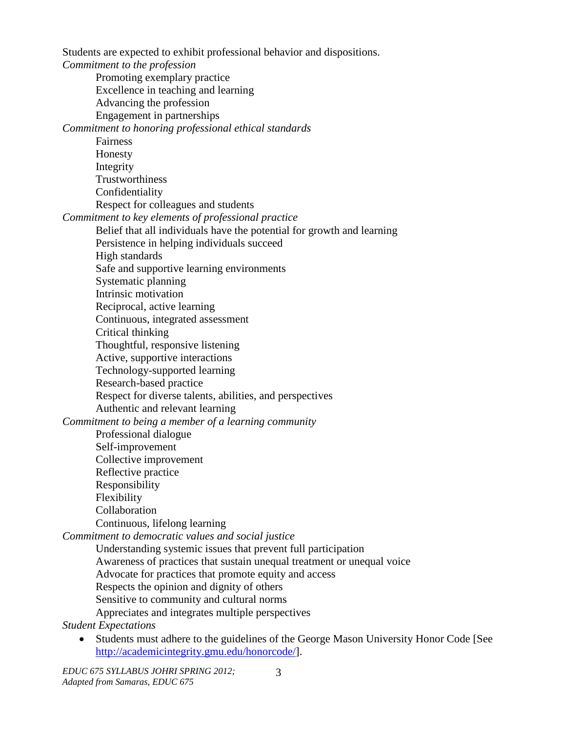Students are expected to exhibit professional behavior and dispositions.

*Commitment to the profession* Promoting exemplary practice Excellence in teaching and learning Advancing the profession Engagement in partnerships *Commitment to honoring professional ethical standards* Fairness Honesty Integrity **Trustworthiness** Confidentiality Respect for colleagues and students *Commitment to key elements of professional practice* Belief that all individuals have the potential for growth and learning Persistence in helping individuals succeed High standards Safe and supportive learning environments Systematic planning Intrinsic motivation Reciprocal, active learning Continuous, integrated assessment Critical thinking Thoughtful, responsive listening Active, supportive interactions Technology-supported learning Research-based practice Respect for diverse talents, abilities, and perspectives Authentic and relevant learning *Commitment to being a member of a learning community* Professional dialogue Self-improvement Collective improvement Reflective practice Responsibility Flexibility Collaboration Continuous, lifelong learning *Commitment to democratic values and social justice* Understanding systemic issues that prevent full participation Awareness of practices that sustain unequal treatment or unequal voice Advocate for practices that promote equity and access Respects the opinion and dignity of others Sensitive to community and cultural norms Appreciates and integrates multiple perspectives *Student Expectations*

• Students must adhere to the guidelines of the George Mason University Honor Code [See [http://academicintegrity.gmu.edu/honorcode/\]](http://academicintegrity.gmu.edu/honorcode/).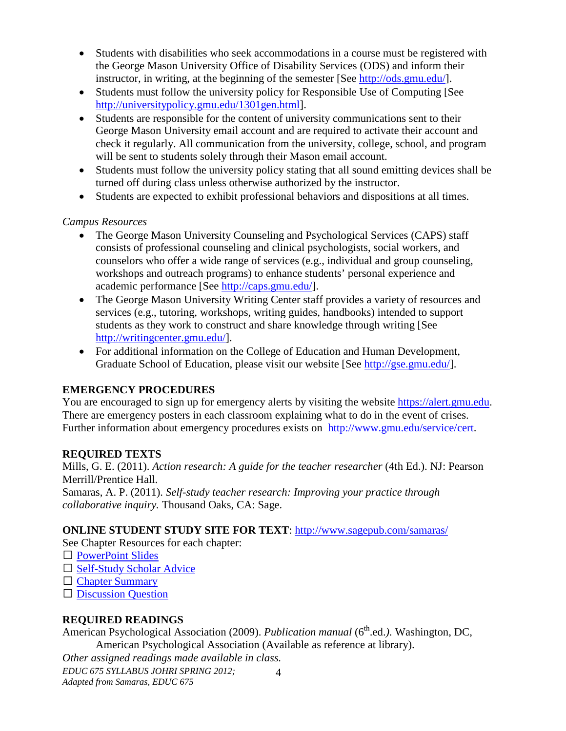- Students with disabilities who seek accommodations in a course must be registered with the George Mason University Office of Disability Services (ODS) and inform their instructor, in writing, at the beginning of the semester [See [http://ods.gmu.edu/\]](http://ods.gmu.edu/).
- Students must follow the university policy for Responsible Use of Computing [See [http://universitypolicy.gmu.edu/1301gen.html\]](http://universitypolicy.gmu.edu/1301gen.html).
- Students are responsible for the content of university communications sent to their George Mason University email account and are required to activate their account and check it regularly. All communication from the university, college, school, and program will be sent to students solely through their Mason email account.
- Students must follow the university policy stating that all sound emitting devices shall be turned off during class unless otherwise authorized by the instructor.
- Students are expected to exhibit professional behaviors and dispositions at all times.

## *Campus Resources*

- The George Mason University Counseling and Psychological Services (CAPS) staff consists of professional counseling and clinical psychologists, social workers, and counselors who offer a wide range of services (e.g., individual and group counseling, workshops and outreach programs) to enhance students' personal experience and academic performance [See [http://caps.gmu.edu/\]](http://caps.gmu.edu/).
- The George Mason University Writing Center staff provides a variety of resources and services (e.g., tutoring, workshops, writing guides, handbooks) intended to support students as they work to construct and share knowledge through writing [See [http://writingcenter.gmu.edu/\]](http://writingcenter.gmu.edu/).
- For additional information on the College of Education and Human Development, Graduate School of Education, please visit our website [See [http://gse.gmu.edu/\]](http://gse.gmu.edu/).

## **EMERGENCY PROCEDURES**

You are encouraged to sign up for emergency alerts by visiting the website [https://alert.gmu.edu.](https://alert.gmu.edu/) There are emergency posters in each classroom explaining what to do in the event of crises. Further information about emergency procedures exists on [http://www.gmu.edu/service/cert.](http://www.gmu.edu/service/cert)

## **REQUIRED TEXTS**

Mills, G. E. (2011). *Action research: A guide for the teacher researcher* (4th Ed.). NJ: Pearson Merrill/Prentice Hall.

Samaras, A. P. (2011). *Self-study teacher research: Improving your practice through collaborative inquiry.* Thousand Oaks, CA: Sage.

# **ONLINE STUDENT STUDY SITE FOR TEXT**:<http://www.sagepub.com/samaras/>

See Chapter Resources for each chapter:

- □ [PowerPoint Slides](http://www.sagepub.com/samaras/chapters/PPTs/Ch01PPT.ppt)
- □ [Self-Study Scholar Advice](http://www.sagepub.com/samaras/chapters/Scholar%20Advice/Ch01ScholarAdvice.pdf)
- □ [Chapter Summary](http://www.sagepub.com/samaras/chapters/Chapter%20Summaries/Ch01Description.pdf)
- [Discussion Question](http://www.sagepub.com/samaras/chapters/Discussion%20Questions%20and%20Classroom%20Activities/Ch01Discussion.doc)

# **REQUIRED READINGS**

American Psychological Association (2009). *Publication manual* (6<sup>th</sup>.ed.). Washington, DC, American Psychological Association (Available as reference at library).

*EDUC 675 SYLLABUS JOHRI SPRING 2012; Other assigned readings made available in class.*

*Adapted from Samaras, EDUC 675*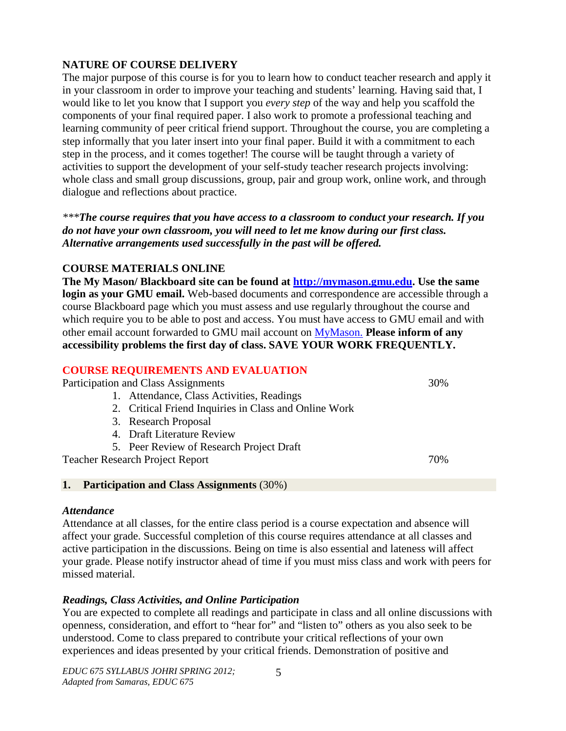#### **NATURE OF COURSE DELIVERY**

The major purpose of this course is for you to learn how to conduct teacher research and apply it in your classroom in order to improve your teaching and students' learning. Having said that, I would like to let you know that I support you *every step* of the way and help you scaffold the components of your final required paper. I also work to promote a professional teaching and learning community of peer critical friend support. Throughout the course, you are completing a step informally that you later insert into your final paper. Build it with a commitment to each step in the process, and it comes together! The course will be taught through a variety of activities to support the development of your self-study teacher research projects involving: whole class and small group discussions, group, pair and group work, online work, and through dialogue and reflections about practice.

*\*\*\*The course requires that you have access to a classroom to conduct your research. If you do not have your own classroom, you will need to let me know during our first class. Alternative arrangements used successfully in the past will be offered.*

## **COURSE MATERIALS ONLINE**

**The My Mason/ Blackboard site can be found at [http://mymason.gmu.edu.](http://mymason.gmu.edu/) Use the same login as your GMU email.** Web-based documents and correspondence are accessible through a course Blackboard page which you must assess and use regularly throughout the course and which require you to be able to post and access. You must have access to GMU email and with other email account forwarded to GMU mail account on [MyMason.](https://mymasonportal.gmu.edu/webapps/portal/frameset.jsp) **Please inform of any accessibility problems the first day of class. SAVE YOUR WORK FREQUENTLY.**

# **COURSE REQUIREMENTS AND EVALUATION**

Participation and Class Assignments 30%

- 1. Attendance, Class Activities, Readings
- 2. Critical Friend Inquiries in Class and Online Work
- 3. Research Proposal
- 4. Draft Literature Review
- 5. Peer Review of Research Project Draft

Teacher Research Project Report 70%

#### **1. Participation and Class Assignments** (30%)

#### *Attendance*

Attendance at all classes, for the entire class period is a course expectation and absence will affect your grade. Successful completion of this course requires attendance at all classes and active participation in the discussions. Being on time is also essential and lateness will affect your grade. Please notify instructor ahead of time if you must miss class and work with peers for missed material.

#### *Readings, Class Activities, and Online Participation*

You are expected to complete all readings and participate in class and all online discussions with openness, consideration, and effort to "hear for" and "listen to" others as you also seek to be understood. Come to class prepared to contribute your critical reflections of your own experiences and ideas presented by your critical friends. Demonstration of positive and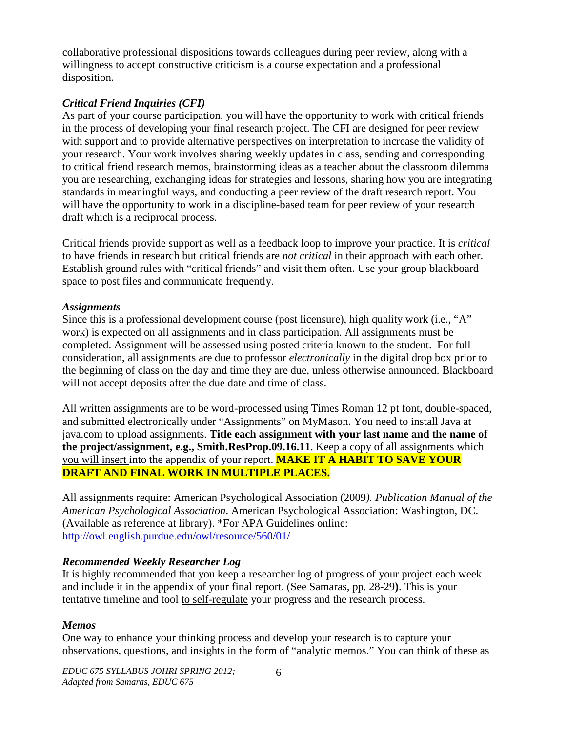collaborative professional dispositions towards colleagues during peer review, along with a willingness to accept constructive criticism is a course expectation and a professional disposition.

## *Critical Friend Inquiries (CFI)*

As part of your course participation, you will have the opportunity to work with critical friends in the process of developing your final research project. The CFI are designed for peer review with support and to provide alternative perspectives on interpretation to increase the validity of your research. Your work involves sharing weekly updates in class, sending and corresponding to critical friend research memos, brainstorming ideas as a teacher about the classroom dilemma you are researching, exchanging ideas for strategies and lessons, sharing how you are integrating standards in meaningful ways, and conducting a peer review of the draft research report. You will have the opportunity to work in a discipline-based team for peer review of your research draft which is a reciprocal process.

Critical friends provide support as well as a feedback loop to improve your practice. It is *critical* to have friends in research but critical friends are *not critical* in their approach with each other. Establish ground rules with "critical friends" and visit them often. Use your group blackboard space to post files and communicate frequently.

#### *Assignments*

Since this is a professional development course (post licensure), high quality work (i.e., "A" work) is expected on all assignments and in class participation. All assignments must be completed. Assignment will be assessed using posted criteria known to the student. For full consideration, all assignments are due to professor *electronically* in the digital drop box prior to the beginning of class on the day and time they are due, unless otherwise announced. Blackboard will not accept deposits after the due date and time of class.

All written assignments are to be word-processed using Times Roman 12 pt font, double-spaced, and submitted electronically under "Assignments" on MyMason. You need to install Java at java.com to upload assignments. **Title each assignment with your last name and the name of the project/assignment, e.g., Smith.ResProp.09.16.11**. Keep a copy of all assignments which you will insert into the appendix of your report. **MAKE IT A HABIT TO SAVE YOUR DRAFT AND FINAL WORK IN MULTIPLE PLACES.**

All assignments require: American Psychological Association (2009*). Publication Manual of the American Psychological Association*. American Psychological Association: Washington, DC. (Available as reference at library). \*For APA Guidelines online: <http://owl.english.purdue.edu/owl/resource/560/01/>

## *Recommended Weekly Researcher Log*

It is highly recommended that you keep a researcher log of progress of your project each week and include it in the appendix of your final report. (See Samaras, pp. 28-29**)**. This is your tentative timeline and tool to self-regulate your progress and the research process.

## *Memos*

One way to enhance your thinking process and develop your research is to capture your observations, questions, and insights in the form of "analytic memos." You can think of these as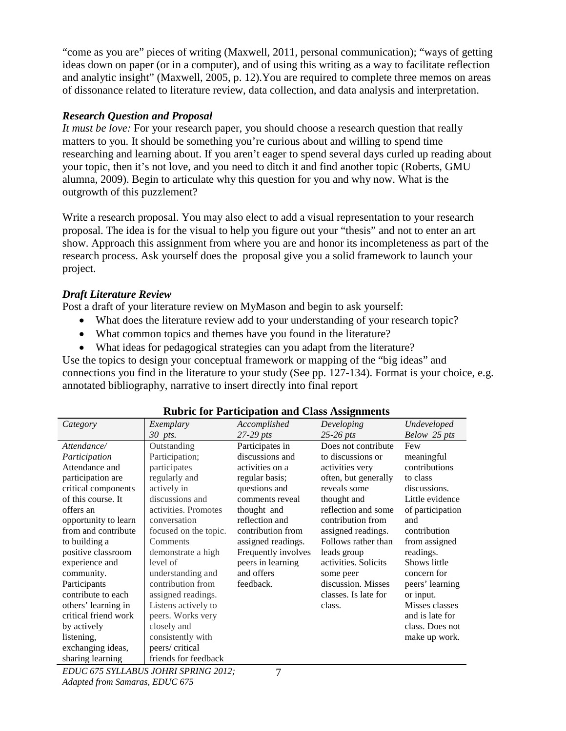"come as you are" pieces of writing (Maxwell, 2011, personal communication); "ways of getting ideas down on paper (or in a computer), and of using this writing as a way to facilitate reflection and analytic insight" (Maxwell, 2005, p. 12).You are required to complete three memos on areas of dissonance related to literature review, data collection, and data analysis and interpretation.

### *Research Question and Proposal*

*It must be love:* For your research paper, you should choose a research question that really matters to you. It should be something you're curious about and willing to spend time researching and learning about. If you aren't eager to spend several days curled up reading about your topic, then it's not love, and you need to ditch it and find another topic (Roberts, GMU alumna, 2009). Begin to articulate why this question for you and why now. What is the outgrowth of this puzzlement?

Write a research proposal. You may also elect to add a visual representation to your research proposal. The idea is for the visual to help you figure out your "thesis" and not to enter an art show. Approach this assignment from where you are and honor its incompleteness as part of the research process. Ask yourself does the proposal give you a solid framework to launch your project.

#### *Draft Literature Review*

Post a draft of your literature review on MyMason and begin to ask yourself:

- What does the literature review add to your understanding of your research topic?
- What common topics and themes have you found in the literature?
- What ideas for pedagogical strategies can you adapt from the literature?

Use the topics to design your conceptual framework or mapping of the "big ideas" and connections you find in the literature to your study (See pp. 127-134). Format is your choice, e.g. annotated bibliography, narrative to insert directly into final report

| Category             | Exemplary             | Accomplished        | Developing           | Undeveloped      |
|----------------------|-----------------------|---------------------|----------------------|------------------|
|                      | 30 pts.               | $27-29$ pts         | $25-26$ pts          | Below 25 pts     |
| Attendance/          | Outstanding           | Participates in     | Does not contribute  | Few              |
| Participation        | Participation;        | discussions and     | to discussions or    | meaningful       |
| Attendance and       | participates          | activities on a     | activities very      | contributions    |
| participation are    | regularly and         | regular basis;      | often, but generally | to class         |
| critical components  | actively in           | questions and       | reveals some         | discussions.     |
| of this course. It   | discussions and       | comments reveal     | thought and          | Little evidence  |
| offers an            | activities. Promotes  | thought and         | reflection and some  | of participation |
| opportunity to learn | conversation          | reflection and      | contribution from    | and              |
| from and contribute  | focused on the topic. | contribution from   | assigned readings.   | contribution     |
| to building a        | Comments              | assigned readings.  | Follows rather than  | from assigned    |
| positive classroom   | demonstrate a high    | Frequently involves | leads group          | readings.        |
| experience and       | level of              | peers in learning   | activities. Solicits | Shows little     |
| community.           | understanding and     | and offers          | some peer            | concern for      |
| Participants         | contribution from     | feedback.           | discussion. Misses   | peers' learning  |
| contribute to each   | assigned readings.    |                     | classes. Is late for | or input.        |
| others' learning in  | Listens actively to   |                     | class.               | Misses classes   |
| critical friend work | peers. Works very     |                     |                      | and is late for  |
| by actively          | closely and           |                     |                      | class. Does not  |
| listening,           | consistently with     |                     |                      | make up work.    |
| exchanging ideas,    | peers/critical        |                     |                      |                  |
| sharing learning     | friends for feedback  |                     |                      |                  |

#### **Rubric for Participation and Class Assignments**

*EDUC 675 SYLLABUS JOHRI SPRING 2012; Adapted from Samaras, EDUC 675*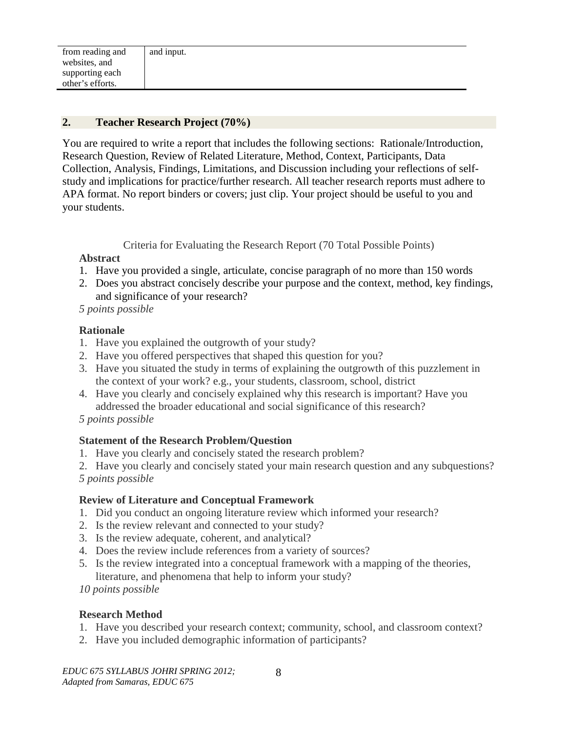#### **2. Teacher Research Project (70%)**

You are required to write a report that includes the following sections: Rationale/Introduction, Research Question, Review of Related Literature, Method, Context, Participants, Data Collection, Analysis, Findings, Limitations, and Discussion including your reflections of selfstudy and implications for practice/further research. All teacher research reports must adhere to APA format. No report binders or covers; just clip. Your project should be useful to you and your students.

Criteria for Evaluating the Research Report (70 Total Possible Points)

#### **Abstract**

- 1. Have you provided a single, articulate, concise paragraph of no more than 150 words
- 2. Does you abstract concisely describe your purpose and the context, method, key findings, and significance of your research?

 *5 points possible*

#### **Rationale**

- 1. Have you explained the outgrowth of your study?
- 2. Have you offered perspectives that shaped this question for you?
- 3. Have you situated the study in terms of explaining the outgrowth of this puzzlement in the context of your work? e.g., your students, classroom, school, district
- 4. Have you clearly and concisely explained why this research is important? Have you addressed the broader educational and social significance of this research?

#### *5 points possible*

#### **Statement of the Research Problem/Question**

- 1. Have you clearly and concisely stated the research problem?
- 2. Have you clearly and concisely stated your main research question and any subquestions? *5 points possible*

#### **Review of Literature and Conceptual Framework**

- 1. Did you conduct an ongoing literature review which informed your research?
- 2. Is the review relevant and connected to your study?
- 3. Is the review adequate, coherent, and analytical?
- 4. Does the review include references from a variety of sources?
- 5. Is the review integrated into a conceptual framework with a mapping of the theories, literature, and phenomena that help to inform your study?
- *10 points possible*

#### **Research Method**

- 1. Have you described your research context; community, school, and classroom context?
- 2. Have you included demographic information of participants?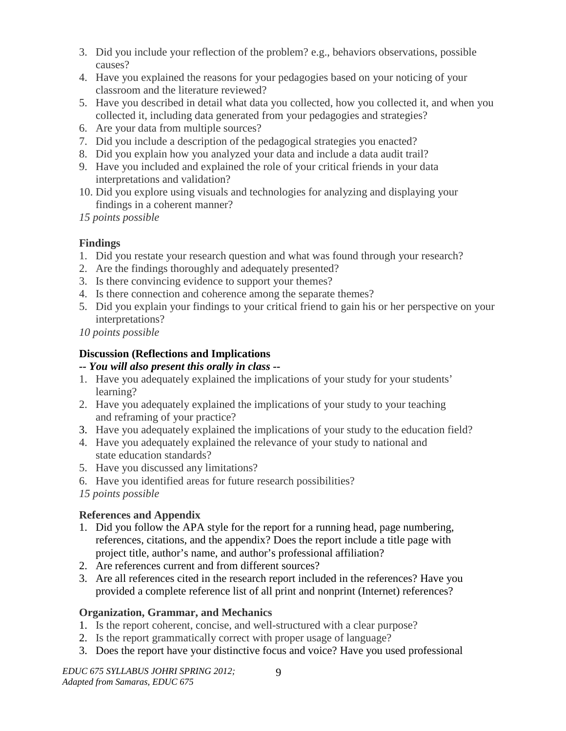- 3. Did you include your reflection of the problem? e.g., behaviors observations, possible causes?
- 4. Have you explained the reasons for your pedagogies based on your noticing of your classroom and the literature reviewed?
- 5. Have you described in detail what data you collected, how you collected it, and when you collected it, including data generated from your pedagogies and strategies?
- 6. Are your data from multiple sources?
- 7. Did you include a description of the pedagogical strategies you enacted?
- 8. Did you explain how you analyzed your data and include a data audit trail?
- 9. Have you included and explained the role of your critical friends in your data interpretations and validation?
- 10. Did you explore using visuals and technologies for analyzing and displaying your findings in a coherent manner?

*15 points possible*

# **Findings**

- 1. Did you restate your research question and what was found through your research?
- 2. Are the findings thoroughly and adequately presented?
- 3. Is there convincing evidence to support your themes?
- 4. Is there connection and coherence among the separate themes?
- 5. Did you explain your findings to your critical friend to gain his or her perspective on your interpretations?
- *10 points possible*

# **Discussion (Reflections and Implications**

# *-- You will also present this orally in class --*

- 1. Have you adequately explained the implications of your study for your students' learning?
- 2. Have you adequately explained the implications of your study to your teaching and reframing of your practice?
- 3. Have you adequately explained the implications of your study to the education field?
- 4. Have you adequately explained the relevance of your study to national and state education standards?
- 5. Have you discussed any limitations?
- 6. Have you identified areas for future research possibilities?
- *15 points possible*

# **References and Appendix**

- 1. Did you follow the APA style for the report for a running head, page numbering, references, citations, and the appendix? Does the report include a title page with project title, author's name, and author's professional affiliation?
- 2. Are references current and from different sources?
- 3. Are all references cited in the research report included in the references? Have you provided a complete reference list of all print and nonprint (Internet) references?

# **Organization, Grammar, and Mechanics**

- 1. Is the report coherent, concise, and well-structured with a clear purpose?
- 2. Is the report grammatically correct with proper usage of language?
- 3. Does the report have your distinctive focus and voice? Have you used professional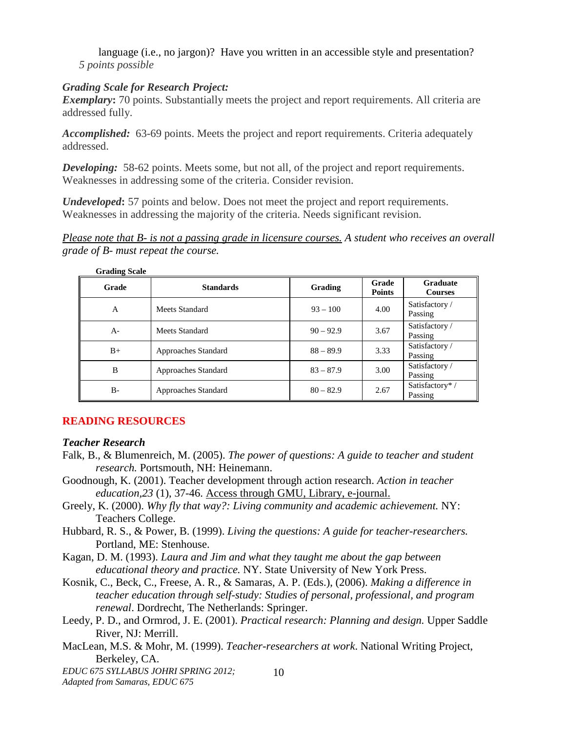language (i.e., no jargon)? Have you written in an accessible style and presentation? *5 points possible*

#### *Grading Scale for Research Project:*

*Exemplary*: 70 points. Substantially meets the project and report requirements. All criteria are addressed fully.

*Accomplished:* 63-69 points. Meets the project and report requirements. Criteria adequately addressed.

**Developing:** 58-62 points. Meets some, but not all, of the project and report requirements. Weaknesses in addressing some of the criteria. Consider revision.

*Undeveloped***:** 57 points and below. Does not meet the project and report requirements. Weaknesses in addressing the majority of the criteria. Needs significant revision.

*Please note that B- is not a passing grade in licensure courses. A student who receives an overall grade of B- must repeat the course.* 

| <b>Grading Scale</b> |                     |             |                        |                                   |
|----------------------|---------------------|-------------|------------------------|-----------------------------------|
| Grade                | <b>Standards</b>    | Grading     | Grade<br><b>Points</b> | <b>Graduate</b><br><b>Courses</b> |
| A                    | Meets Standard      | $93 - 100$  | 4.00                   | Satisfactory /<br>Passing         |
| $A -$                | Meets Standard      | $90 - 92.9$ | 3.67                   | Satisfactory /<br>Passing         |
| $B+$                 | Approaches Standard | $88 - 89.9$ | 3.33                   | Satisfactory /<br>Passing         |
| B                    | Approaches Standard | $83 - 87.9$ | 3.00                   | Satisfactory /<br>Passing         |
| $B -$                | Approaches Standard | $80 - 82.9$ | 2.67                   | Satisfactory*/<br>Passing         |

#### **READING RESOURCES**

#### *Teacher Research*

- Falk, B., & Blumenreich, M. (2005). *The power of questions: A guide to teacher and student research.* Portsmouth, NH: Heinemann.
- Goodnough, K. (2001). Teacher development through action research. *Action in teacher education,23* (1), 37-46. Access through GMU, Library, e-journal.
- Greely, K. (2000). *Why fly that way?: Living community and academic achievement.* NY: Teachers College.
- Hubbard, R. S., & Power, B. (1999). *Living the questions: A guide for teacher-researchers.*  Portland, ME: Stenhouse.
- Kagan, D. M. (1993). *Laura and Jim and what they taught me about the gap between educational theory and practice.* NY. State University of New York Press.
- Kosnik, C., Beck, C., Freese, A. R., & Samaras, A. P. (Eds.), (2006). *Making a difference in teacher education through self-study: Studies of personal, professional, and program renewal*. Dordrecht, The Netherlands: Springer.
- Leedy, P. D., and Ormrod, J. E. (2001). *Practical research: Planning and design.* Upper Saddle River, NJ: Merrill.

10

MacLean, M.S. & Mohr, M. (1999). *Teacher-researchers at work*. National Writing Project, Berkeley, CA.

*EDUC 675 SYLLABUS JOHRI SPRING 2012; Adapted from Samaras, EDUC 675*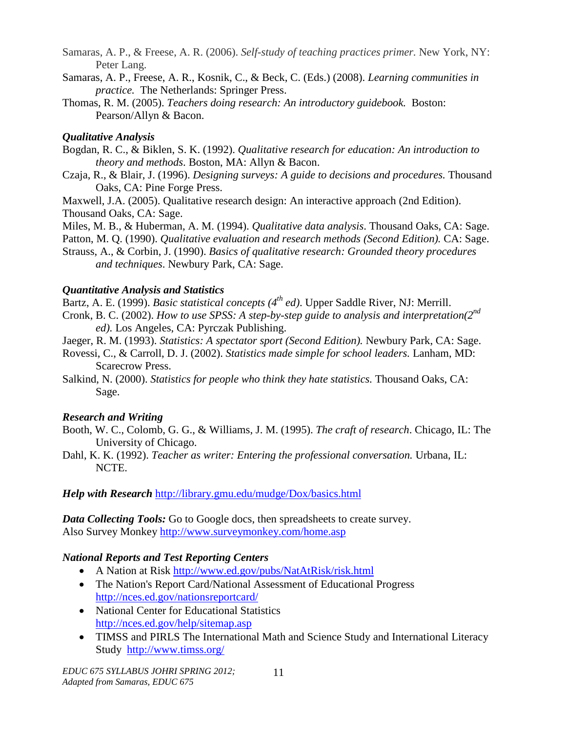- Samaras, A. P., & Freese, A. R. (2006). *Self-study of teaching practices primer.* New York, NY: Peter Lang.
- Samaras, A. P., Freese, A. R., Kosnik, C., & Beck, C. (Eds.) (2008). *Learning communities in practice.* The Netherlands: Springer Press.
- Thomas, R. M. (2005). *Teachers doing research: An introductory guidebook.* Boston: Pearson/Allyn & Bacon.

## *Qualitative Analysis*

- Bogdan, R. C., & Biklen, S. K. (1992). *Qualitative research for education: An introduction to theory and methods*. Boston, MA: Allyn & Bacon.
- Czaja, R., & Blair, J. (1996). *Designing surveys: A guide to decisions and procedures.* Thousand Oaks, CA: Pine Forge Press.

Maxwell, J.A. (2005). Qualitative research design: An interactive approach (2nd Edition). Thousand Oaks, CA: Sage.

Miles, M. B., & Huberman, A. M. (1994). *Qualitative data analysis*. Thousand Oaks, CA: Sage.

Patton, M. Q. (1990). *Qualitative evaluation and research methods (Second Edition)*. CA: Sage.

Strauss, A., & Corbin, J. (1990). *Basics of qualitative research: Grounded theory procedures and techniques*. Newbury Park, CA: Sage.

## *Quantitative Analysis and Statistics*

Bartz, A. E. (1999). *Basic statistical concepts (4th ed)*. Upper Saddle River, NJ: Merrill.

- Cronk, B. C. (2002). *How to use SPSS: A step-by-step guide to analysis and interpretation(2nd ed).* Los Angeles, CA: Pyrczak Publishing.
- Jaeger, R. M. (1993). *Statistics: A spectator sport (Second Edition).* Newbury Park, CA: Sage.
- Rovessi, C., & Carroll, D. J. (2002). *Statistics made simple for school leaders.* Lanham, MD: Scarecrow Press.
- Salkind, N. (2000). *Statistics for people who think they hate statistics.* Thousand Oaks, CA: Sage.

# *Research and Writing*

- Booth, W. C., Colomb, G. G., & Williams, J. M. (1995). *The craft of research*. Chicago, IL: The University of Chicago.
- Dahl, K. K. (1992). *Teacher as writer: Entering the professional conversation.* Urbana, IL: NCTE.

*Help with Research* <http://library.gmu.edu/mudge/Dox/basics.html>

*Data Collecting Tools:* Go to Google docs, then spreadsheets to create survey. Also Survey Monkey<http://www.surveymonkey.com/home.asp>

# *National Reports and Test Reporting Centers*

- A Nation at Risk<http://www.ed.gov/pubs/NatAtRisk/risk.html>
- [The Nation's Report Card/](http://nces.ed.gov/nationsreportcard/)National Assessment of Educational Progress <http://nces.ed.gov/nationsreportcard/>
- National Center for Educational Statistics <http://nces.ed.gov/help/sitemap.asp>
- TIMSS and PIRLS [The International Math and Science Study](http://www.timss.org/) and International Literacy Study <http://www.timss.org/>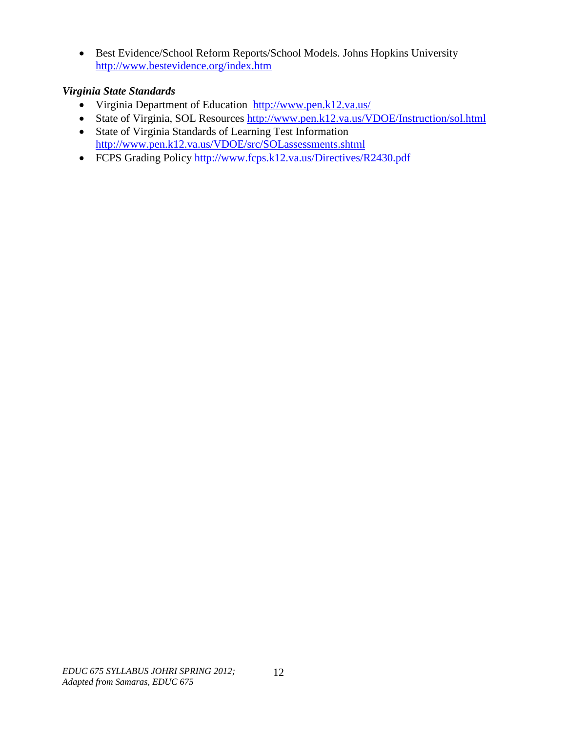• Best Evidence/School Reform Reports/School Models. Johns Hopkins University <http://www.bestevidence.org/index.htm>

## *Virginia State Standards*

- [Virginia Department of Education http://www.pen.k12.va.us/](http://www.pen.k12.va.us/)
- State of Virginia, SOL Resources<http://www.pen.k12.va.us/VDOE/Instruction/sol.html>
- State of Virginia Standards of Learning Test Information <http://www.pen.k12.va.us/VDOE/src/SOLassessments.shtml>
- FCPS Grading Policy<http://www.fcps.k12.va.us/Directives/R2430.pdf>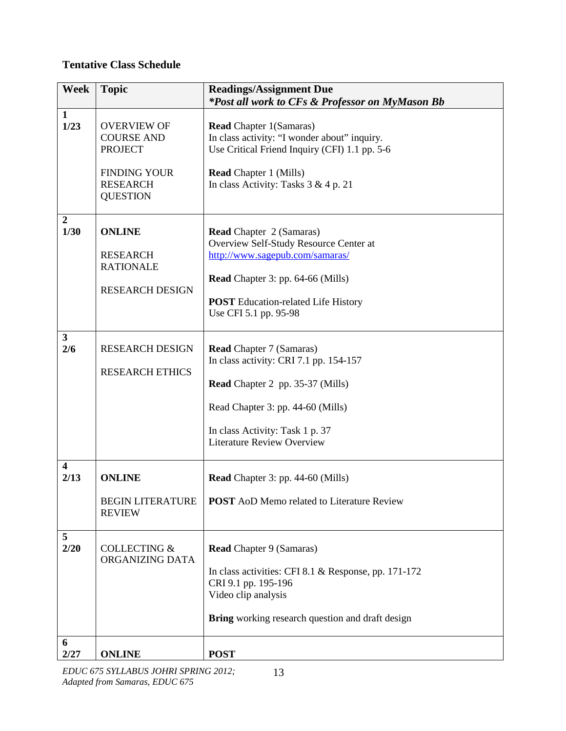## **Tentative Class Schedule**

| <b>Week</b>              | <b>Topic</b>                                                                                                           | <b>Readings/Assignment Due</b><br>*Post all work to CFs & Professor on MyMason Bb                                                                                                                                                 |
|--------------------------|------------------------------------------------------------------------------------------------------------------------|-----------------------------------------------------------------------------------------------------------------------------------------------------------------------------------------------------------------------------------|
| $\mathbf{1}$<br>1/23     | <b>OVERVIEW OF</b><br><b>COURSE AND</b><br><b>PROJECT</b><br><b>FINDING YOUR</b><br><b>RESEARCH</b><br><b>QUESTION</b> | <b>Read Chapter 1(Samaras)</b><br>In class activity: "I wonder about" inquiry.<br>Use Critical Friend Inquiry (CFI) 1.1 pp. 5-6<br><b>Read Chapter 1 (Mills)</b><br>In class Activity: Tasks $3 & 4 p. 21$                        |
| $\boldsymbol{2}$<br>1/30 | <b>ONLINE</b><br><b>RESEARCH</b><br><b>RATIONALE</b><br><b>RESEARCH DESIGN</b>                                         | Read Chapter 2 (Samaras)<br>Overview Self-Study Resource Center at<br>http://www.sagepub.com/samaras/<br><b>Read</b> Chapter 3: pp. 64-66 (Mills)<br><b>POST</b> Education-related Life History<br>Use CFI 5.1 pp. 95-98          |
| 3 <sup>1</sup><br>2/6    | <b>RESEARCH DESIGN</b><br><b>RESEARCH ETHICS</b>                                                                       | <b>Read Chapter 7 (Samaras)</b><br>In class activity: CRI 7.1 pp. 154-157<br><b>Read</b> Chapter 2 pp. 35-37 (Mills)<br>Read Chapter 3: pp. 44-60 (Mills)<br>In class Activity: Task 1 p. 37<br><b>Literature Review Overview</b> |
| 4<br>2/13                | <b>ONLINE</b><br><b>BEGIN LITERATURE</b><br><b>REVIEW</b>                                                              | <b>Read</b> Chapter 3: pp. 44-60 (Mills)<br><b>POST</b> AoD Memo related to Literature Review                                                                                                                                     |
| 5<br>2/20<br>6           | <b>COLLECTING &amp;</b><br>ORGANIZING DATA                                                                             | <b>Read Chapter 9 (Samaras)</b><br>In class activities: CFI 8.1 & Response, pp. 171-172<br>CRI 9.1 pp. 195-196<br>Video clip analysis<br>Bring working research question and draft design                                         |
| 2/27                     | <b>ONLINE</b>                                                                                                          | <b>POST</b>                                                                                                                                                                                                                       |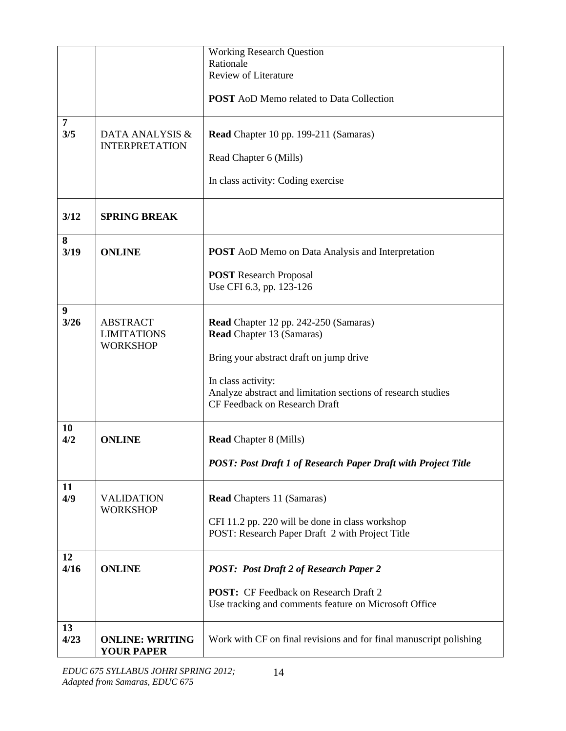|                       |                                          | <b>Working Research Question</b>                                   |
|-----------------------|------------------------------------------|--------------------------------------------------------------------|
|                       |                                          | Rationale                                                          |
|                       |                                          | <b>Review of Literature</b>                                        |
|                       |                                          |                                                                    |
|                       |                                          | <b>POST</b> AoD Memo related to Data Collection                    |
| $\overline{7}$<br>3/5 | DATA ANALYSIS &<br><b>INTERPRETATION</b> | Read Chapter 10 pp. 199-211 (Samaras)                              |
|                       |                                          | Read Chapter 6 (Mills)                                             |
|                       |                                          | In class activity: Coding exercise                                 |
| 3/12                  | <b>SPRING BREAK</b>                      |                                                                    |
| 8<br>3/19             | <b>ONLINE</b>                            | <b>POST</b> AoD Memo on Data Analysis and Interpretation           |
|                       |                                          |                                                                    |
|                       |                                          | <b>POST</b> Research Proposal                                      |
|                       |                                          | Use CFI 6.3, pp. 123-126                                           |
| 9                     |                                          |                                                                    |
| 3/26                  | <b>ABSTRACT</b>                          | Read Chapter 12 pp. 242-250 (Samaras)                              |
|                       | <b>LIMITATIONS</b>                       | <b>Read Chapter 13 (Samaras)</b>                                   |
|                       | <b>WORKSHOP</b>                          |                                                                    |
|                       |                                          | Bring your abstract draft on jump drive                            |
|                       |                                          |                                                                    |
|                       |                                          | In class activity:                                                 |
|                       |                                          | Analyze abstract and limitation sections of research studies       |
|                       |                                          | CF Feedback on Research Draft                                      |
|                       |                                          |                                                                    |
| <b>10</b>             |                                          |                                                                    |
| 4/2                   | <b>ONLINE</b>                            | <b>Read Chapter 8 (Mills)</b>                                      |
|                       |                                          | POST: Post Draft 1 of Research Paper Draft with Project Title      |
|                       |                                          |                                                                    |
| 11                    |                                          |                                                                    |
| 4/9                   | <b>VALIDATION</b>                        | <b>Read Chapters 11 (Samaras)</b>                                  |
|                       | <b>WORKSHOP</b>                          |                                                                    |
|                       |                                          | CFI 11.2 pp. 220 will be done in class workshop                    |
|                       |                                          | POST: Research Paper Draft 2 with Project Title                    |
|                       |                                          |                                                                    |
| 12<br>4/16            | <b>ONLINE</b>                            |                                                                    |
|                       |                                          | <b>POST: Post Draft 2 of Research Paper 2</b>                      |
|                       |                                          | <b>POST:</b> CF Feedback on Research Draft 2                       |
|                       |                                          | Use tracking and comments feature on Microsoft Office              |
|                       |                                          |                                                                    |
| 13                    |                                          |                                                                    |
| 4/23                  | <b>ONLINE: WRITING</b>                   | Work with CF on final revisions and for final manuscript polishing |
|                       | <b>YOUR PAPER</b>                        |                                                                    |